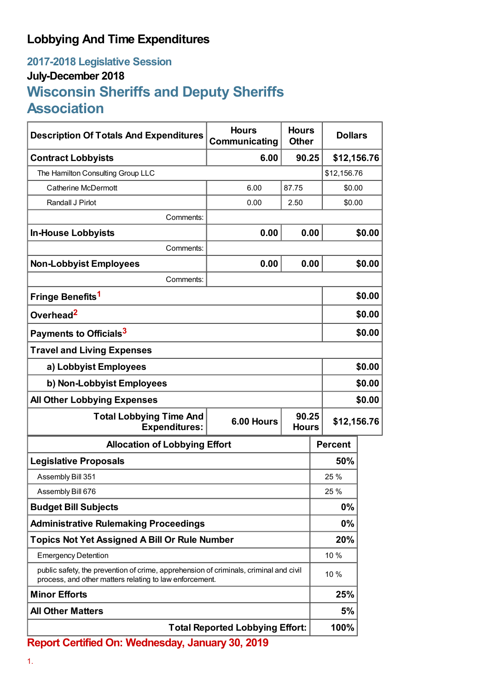## **Lobbying And Time Expenditures**

## **2017-2018 Legislative Session July-December 2018 Wisconsin Sheriffs and Deputy Sheriffs Association**

| <b>Description Of Totals And Expenditures</b>                                                                                                    | <b>Hours</b><br>Communicating       | <b>Hours</b><br><b>Other</b> | <b>Dollars</b> |        |
|--------------------------------------------------------------------------------------------------------------------------------------------------|-------------------------------------|------------------------------|----------------|--------|
| <b>Contract Lobbyists</b>                                                                                                                        | 6.00                                | 90.25                        | \$12,156.76    |        |
| The Hamilton Consulting Group LLC                                                                                                                |                                     |                              | \$12,156.76    |        |
| <b>Catherine McDermott</b>                                                                                                                       | 6.00                                | 87.75                        | \$0.00         |        |
| Randall J Pirlot                                                                                                                                 | 0.00                                | 2.50                         | \$0.00         |        |
| Comments:                                                                                                                                        |                                     |                              |                |        |
| <b>In-House Lobbyists</b>                                                                                                                        | 0.00                                | 0.00                         |                | \$0.00 |
| Comments:                                                                                                                                        |                                     |                              |                |        |
| <b>Non-Lobbyist Employees</b>                                                                                                                    | 0.00                                | 0.00                         |                | \$0.00 |
| Comments:                                                                                                                                        |                                     |                              |                |        |
| Fringe Benefits <sup>1</sup>                                                                                                                     |                                     |                              |                | \$0.00 |
| Overhead <sup>2</sup>                                                                                                                            |                                     |                              | \$0.00         |        |
| Payments to Officials <sup>3</sup>                                                                                                               |                                     |                              | \$0.00         |        |
| <b>Travel and Living Expenses</b>                                                                                                                |                                     |                              |                |        |
| a) Lobbyist Employees                                                                                                                            |                                     |                              | \$0.00         |        |
| b) Non-Lobbyist Employees                                                                                                                        |                                     |                              | \$0.00         |        |
| <b>All Other Lobbying Expenses</b>                                                                                                               |                                     |                              |                | \$0.00 |
| <b>Total Lobbying Time And</b><br><b>Expenditures:</b>                                                                                           | 90.25<br>6.00 Hours<br><b>Hours</b> |                              | \$12,156.76    |        |
| <b>Allocation of Lobbying Effort</b>                                                                                                             |                                     |                              | <b>Percent</b> |        |
| <b>Legislative Proposals</b>                                                                                                                     |                                     |                              | 50%            |        |
| Assembly Bill 351                                                                                                                                |                                     |                              | 25 %           |        |
| Assembly Bill 676                                                                                                                                |                                     |                              | 25 %           |        |
| <b>Budget Bill Subjects</b>                                                                                                                      |                                     |                              | 0%             |        |
| <b>Administrative Rulemaking Proceedings</b>                                                                                                     |                                     |                              | 0%             |        |
| <b>Topics Not Yet Assigned A Bill Or Rule Number</b>                                                                                             |                                     |                              | 20%            |        |
| <b>Emergency Detention</b>                                                                                                                       |                                     |                              | 10 %           |        |
| public safety, the prevention of crime, apprehension of criminals, criminal and civil<br>process, and other matters relating to law enforcement. |                                     |                              | 10 %           |        |
| <b>Minor Efforts</b>                                                                                                                             |                                     |                              | 25%            |        |
| <b>All Other Matters</b>                                                                                                                         |                                     |                              | 5%             |        |
| <b>Total Reported Lobbying Effort:</b>                                                                                                           |                                     |                              | 100%           |        |

**Report Certified On: Wednesday, January 30, 2019**